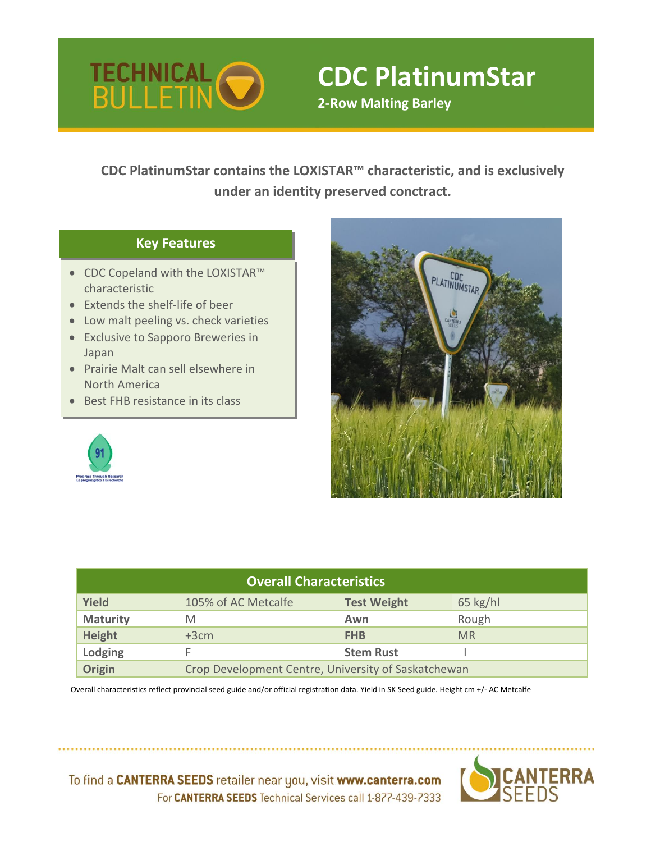

# **CDC PlatinumStar**

**2-Row Malting Barley**

**CDC PlatinumStar contains the LOXISTAR™ characteristic, and is exclusively under an identity preserved conctract.**

## **Key Features**

- CDC Copeland with the LOXISTAR™ characteristic
- Extends the shelf-life of beer
- Low malt peeling vs. check varieties
- Exclusive to Sapporo Breweries in Japan
- Prairie Malt can sell elsewhere in North America
- Best FHB resistance in its class





| <b>Overall Characteristics</b> |                                                     |                    |            |  |  |  |  |  |  |  |  |
|--------------------------------|-----------------------------------------------------|--------------------|------------|--|--|--|--|--|--|--|--|
| <b>Yield</b>                   | 105% of AC Metcalfe                                 | <b>Test Weight</b> | $65$ kg/hl |  |  |  |  |  |  |  |  |
| <b>Maturity</b>                | M                                                   | Awn                | Rough      |  |  |  |  |  |  |  |  |
| Height                         | $+3cm$                                              | <b>FHB</b>         | <b>MR</b>  |  |  |  |  |  |  |  |  |
| Lodging                        |                                                     | <b>Stem Rust</b>   |            |  |  |  |  |  |  |  |  |
| Origin                         | Crop Development Centre, University of Saskatchewan |                    |            |  |  |  |  |  |  |  |  |

 Overall characteristics reflect provincial seed guide and/or official registration data. Yield in SK Seed guide. Height cm +/- AC Metcalfe



To find a CANTERRA SEEDS retailer near you, visit www.canterra.com For CANTERRA SEEDS Technical Services call 1-877-439-7333